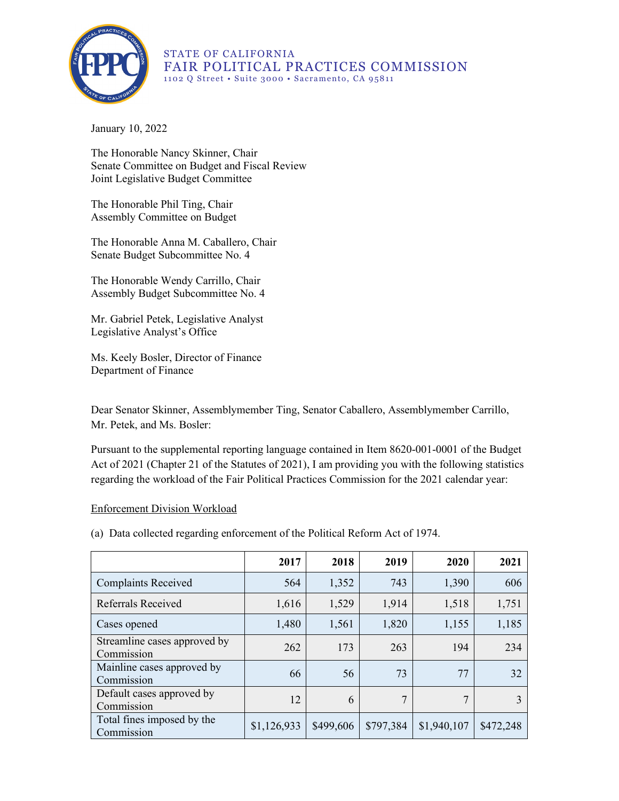

STATE OF CALIFORNIA FAIR POLITICAL PRACTICES COMMISSION 1102 Q Street • Suite 3000 • Sacramento, CA 95811

January 10, 2022

The Honorable Nancy Skinner, Chair Senate Committee on Budget and Fiscal Review Joint Legislative Budget Committee

The Honorable Phil Ting, Chair Assembly Committee on Budget

The Honorable Anna M. Caballero, Chair Senate Budget Subcommittee No. 4

The Honorable Wendy Carrillo, Chair Assembly Budget Subcommittee No. 4

Mr. Gabriel Petek, Legislative Analyst Legislative Analyst's Office

Ms. Keely Bosler, Director of Finance Department of Finance

Dear Senator Skinner, Assemblymember Ting, Senator Caballero, Assemblymember Carrillo, Mr. Petek, and Ms. Bosler:

Pursuant to the supplemental reporting language contained in Item 8620-001-0001 of the Budget Act of 2021 (Chapter 21 of the Statutes of 2021), I am providing you with the following statistics regarding the workload of the Fair Political Practices Commission for the 2021 calendar year:

## Enforcement Division Workload

(a) Data collected regarding enforcement of the Political Reform Act of 1974.

|                                            | 2017        | 2018      | 2019      | 2020        | 2021      |
|--------------------------------------------|-------------|-----------|-----------|-------------|-----------|
| <b>Complaints Received</b>                 | 564         | 1,352     | 743       | 1,390       | 606       |
| Referrals Received                         | 1,616       | 1,529     | 1,914     | 1,518       | 1,751     |
| Cases opened                               | 1,480       | 1,561     | 1,820     | 1,155       | 1,185     |
| Streamline cases approved by<br>Commission | 262         | 173       | 263       | 194         | 234       |
| Mainline cases approved by<br>Commission   | 66          | 56        | 73        | 77          | 32        |
| Default cases approved by<br>Commission    | 12          | 6         | 7         | 7           |           |
| Total fines imposed by the<br>Commission   | \$1,126,933 | \$499,606 | \$797,384 | \$1,940,107 | \$472,248 |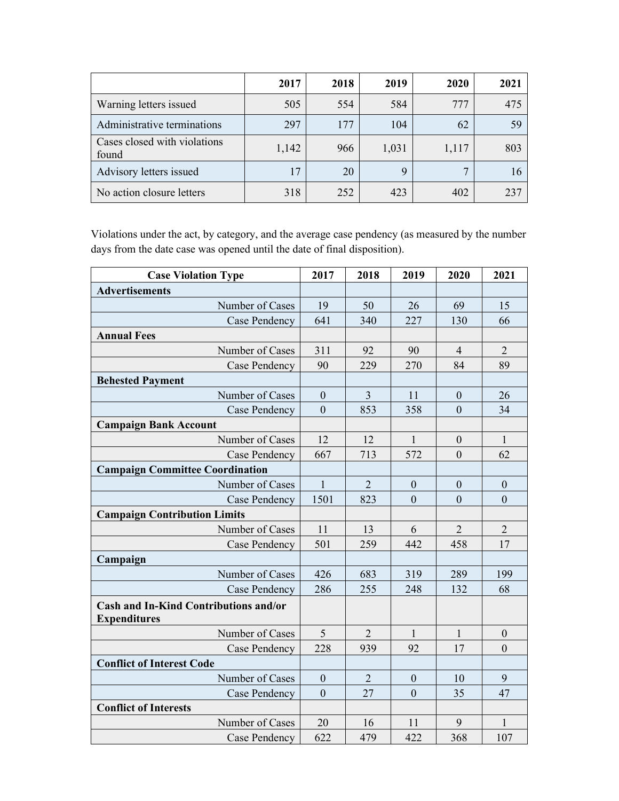|                                       | 2017  | 2018 | 2019  | 2020  | 2021 |
|---------------------------------------|-------|------|-------|-------|------|
| Warning letters issued                | 505   | 554  | 584   | 777   | 475  |
| Administrative terminations           | 297   | 177  | 104   | 62    |      |
| Cases closed with violations<br>found | 1,142 | 966  | 1,031 | 1,117 | 803  |
| Advisory letters issued               | 17    | 20   |       | 7     |      |
| No action closure letters             | 318   | 252  | 423   | 402   |      |

Violations under the act, by category, and the average case pendency (as measured by the number days from the date case was opened until the date of final disposition).

| <b>Case Violation Type</b>                                          | 2017             | 2018           | 2019             | 2020             | 2021             |
|---------------------------------------------------------------------|------------------|----------------|------------------|------------------|------------------|
| <b>Advertisements</b>                                               |                  |                |                  |                  |                  |
| Number of Cases                                                     | 19               | 50             | 26               | 69               | 15               |
| Case Pendency                                                       | 641              | 340            | 227              | 130              | 66               |
| <b>Annual Fees</b>                                                  |                  |                |                  |                  |                  |
| Number of Cases                                                     | 311              | 92             | 90               | $\overline{4}$   | $\overline{2}$   |
| Case Pendency                                                       | 90               | 229            | 270              | 84               | 89               |
| <b>Behested Payment</b>                                             |                  |                |                  |                  |                  |
| Number of Cases                                                     | $\boldsymbol{0}$ | $\overline{3}$ | 11               | $\mathbf{0}$     | 26               |
| Case Pendency                                                       | $\overline{0}$   | 853            | 358              | $\overline{0}$   | 34               |
| <b>Campaign Bank Account</b>                                        |                  |                |                  |                  |                  |
| Number of Cases                                                     | 12               | 12             | 1                | $\boldsymbol{0}$ | $\mathbf{1}$     |
| Case Pendency                                                       | 667              | 713            | 572              | $\mathbf{0}$     | 62               |
| <b>Campaign Committee Coordination</b>                              |                  |                |                  |                  |                  |
| Number of Cases                                                     | $\mathbf{1}$     | $\overline{2}$ | $\boldsymbol{0}$ | $\mathbf{0}$     | $\boldsymbol{0}$ |
| Case Pendency                                                       | 1501             | 823            | $\overline{0}$   | $\overline{0}$   | $\mathbf{0}$     |
| <b>Campaign Contribution Limits</b>                                 |                  |                |                  |                  |                  |
| Number of Cases                                                     | 11               | 13             | 6                | $\overline{2}$   | $\overline{2}$   |
| Case Pendency                                                       | 501              | 259            | 442              | 458              | 17               |
| Campaign                                                            |                  |                |                  |                  |                  |
| Number of Cases                                                     | 426              | 683            | 319              | 289              | 199              |
| Case Pendency                                                       | 286              | 255            | 248              | 132              | 68               |
| <b>Cash and In-Kind Contributions and/or</b><br><b>Expenditures</b> |                  |                |                  |                  |                  |
| Number of Cases                                                     | 5                | $\overline{2}$ | 1                | 1                | $\boldsymbol{0}$ |
| Case Pendency                                                       | 228              | 939            | 92               | 17               | $\overline{0}$   |
| <b>Conflict of Interest Code</b>                                    |                  |                |                  |                  |                  |
| Number of Cases                                                     | $\mathbf{0}$     | $\overline{2}$ | $\boldsymbol{0}$ | 10               | 9                |
| Case Pendency                                                       | $\overline{0}$   | 27             | $\overline{0}$   | 35               | 47               |
| <b>Conflict of Interests</b>                                        |                  |                |                  |                  |                  |
| Number of Cases                                                     | 20               | 16             | 11               | 9                | 1                |
| Case Pendency                                                       | 622              | 479            | 422              | 368              | 107              |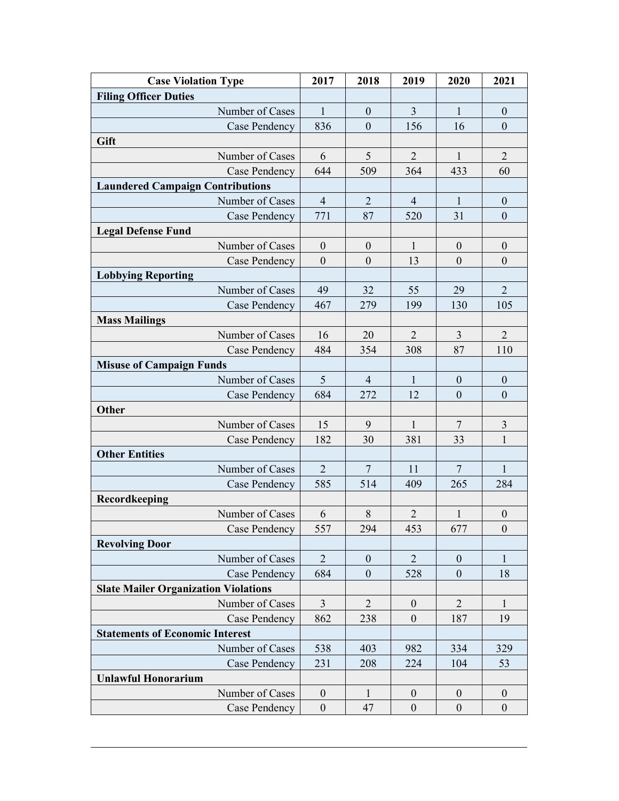| <b>Case Violation Type</b>                  | 2017             | 2018             | 2019             | 2020             | 2021             |
|---------------------------------------------|------------------|------------------|------------------|------------------|------------------|
| <b>Filing Officer Duties</b>                |                  |                  |                  |                  |                  |
| Number of Cases                             | $\mathbf{1}$     | $\boldsymbol{0}$ | 3                | $\mathbf{1}$     | $\boldsymbol{0}$ |
| Case Pendency                               | 836              | $\mathbf{0}$     | 156              | 16               | $\mathbf{0}$     |
| Gift                                        |                  |                  |                  |                  |                  |
| Number of Cases                             | 6                | 5                | $\overline{2}$   | $\mathbf{1}$     | $\overline{2}$   |
| Case Pendency                               | 644              | 509              | 364              | 433              | 60               |
| <b>Laundered Campaign Contributions</b>     |                  |                  |                  |                  |                  |
| Number of Cases                             | $\overline{4}$   | $\overline{2}$   | $\overline{4}$   | 1                | $\boldsymbol{0}$ |
| <b>Case Pendency</b>                        | 771              | 87               | 520              | 31               | $\boldsymbol{0}$ |
| <b>Legal Defense Fund</b>                   |                  |                  |                  |                  |                  |
| Number of Cases                             | $\boldsymbol{0}$ | $\boldsymbol{0}$ | $\mathbf{1}$     | $\boldsymbol{0}$ | $\boldsymbol{0}$ |
| Case Pendency                               | $\boldsymbol{0}$ | $\boldsymbol{0}$ | 13               | $\overline{0}$   | $\mathbf{0}$     |
| <b>Lobbying Reporting</b>                   |                  |                  |                  |                  |                  |
| Number of Cases                             | 49               | 32               | 55               | 29               | $\overline{2}$   |
| Case Pendency                               | 467              | 279              | 199              | 130              | 105              |
| <b>Mass Mailings</b>                        |                  |                  |                  |                  |                  |
| Number of Cases                             | 16               | 20               | $\overline{2}$   | 3                | $\overline{2}$   |
| Case Pendency                               | 484              | 354              | 308              | 87               | 110              |
| <b>Misuse of Campaign Funds</b>             |                  |                  |                  |                  |                  |
| Number of Cases                             | 5                | $\overline{4}$   | $\mathbf{1}$     | $\boldsymbol{0}$ | $\boldsymbol{0}$ |
| Case Pendency                               | 684              | 272              | 12               | $\mathbf{0}$     | $\mathbf{0}$     |
| Other                                       |                  |                  |                  |                  |                  |
| Number of Cases                             | 15               | 9                | $\mathbf{1}$     | $\overline{7}$   | $\overline{3}$   |
| Case Pendency                               | 182              | 30               | 381              | 33               | $\mathbf{1}$     |
| <b>Other Entities</b>                       |                  |                  |                  |                  |                  |
| Number of Cases                             | $\overline{2}$   | $7\phantom{.0}$  | 11               | 7                | $\mathbf{1}$     |
| Case Pendency                               | 585              | 514              | 409              | 265              | 284              |
| Recordkeeping                               |                  |                  |                  |                  |                  |
| Number of Cases                             | 6                | $8\,$            | $\overline{2}$   | $\mathbf{1}$     | $\boldsymbol{0}$ |
| Case Pendency                               | 557              | 294              | 453              | 677              | $\boldsymbol{0}$ |
| <b>Revolving Door</b>                       |                  |                  |                  |                  |                  |
| Number of Cases                             | $\overline{2}$   | $\boldsymbol{0}$ | $\overline{2}$   | $\boldsymbol{0}$ | 1                |
| Case Pendency                               | 684              | $\boldsymbol{0}$ | 528              | $\mathbf{0}$     | 18               |
| <b>Slate Mailer Organization Violations</b> |                  |                  |                  |                  |                  |
| Number of Cases                             | $\overline{3}$   | $\overline{2}$   | $\boldsymbol{0}$ | $\overline{2}$   | $\mathbf{1}$     |
| Case Pendency                               | 862              | 238              | $\boldsymbol{0}$ | 187              | 19               |
| <b>Statements of Economic Interest</b>      |                  |                  |                  |                  |                  |
| Number of Cases                             | 538              | 403              | 982              | 334              | 329              |
| Case Pendency                               | 231              | 208              | 224              | 104              | 53               |
| <b>Unlawful Honorarium</b>                  |                  |                  |                  |                  |                  |
| Number of Cases                             | $\mathbf{0}$     | 1                | $\boldsymbol{0}$ | $\mathbf{0}$     | $\boldsymbol{0}$ |
| Case Pendency                               | $\boldsymbol{0}$ | 47               | $\boldsymbol{0}$ | $\boldsymbol{0}$ | $\boldsymbol{0}$ |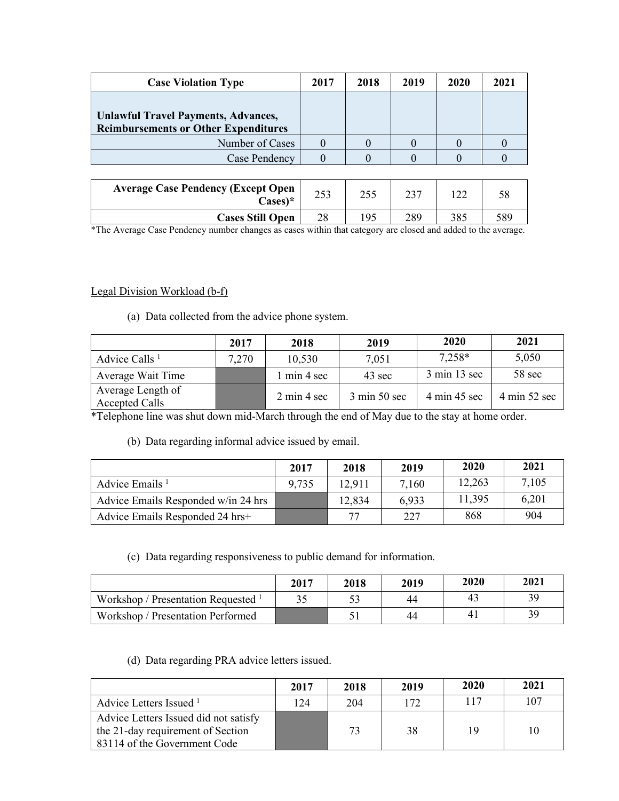| <b>Case Violation Type</b>                                                                | 2017 | 2018 | 2019 | 2020 | 2021 |
|-------------------------------------------------------------------------------------------|------|------|------|------|------|
| <b>Unlawful Travel Payments, Advances,</b><br><b>Reimbursements or Other Expenditures</b> |      |      |      |      |      |
| Number of Cases                                                                           |      |      |      |      |      |
| Case Pendency                                                                             |      |      |      |      |      |
|                                                                                           |      |      |      |      |      |
| <b>Average Case Pendency (Except Open</b><br>$\text{Case}$ s $\ast$                       | 253  | 255  | 237  | 122. |      |

\*The Average Case Pendency number changes as cases within that category are closed and added to the average.

**Cases Still Open** 28 195 289 385 589

## Legal Division Workload (b-f)

(a) Data collected from the advice phone system.

|                                            | 2017  | 2018                           | 2019                            | 2020                            | 2021                            |
|--------------------------------------------|-------|--------------------------------|---------------------------------|---------------------------------|---------------------------------|
| Advice Calls <sup>1</sup>                  | 7,270 | 10,530                         | 7,051                           | $7,258*$                        | 5,050                           |
| Average Wait Time                          |       | 1 min 4 sec                    | 43 sec                          | $3 \text{ min } 13 \text{ sec}$ | 58 sec                          |
| Average Length of<br><b>Accepted Calls</b> |       | $2 \text{ min } 4 \text{ sec}$ | $3 \text{ min } 50 \text{ sec}$ | 4 min 45 sec                    | $4 \text{ min } 52 \text{ sec}$ |

\*Telephone line was shut down mid-March through the end of May due to the stay at home order.

(b) Data regarding informal advice issued by email.

|                                     | 2017  | 2018   | 2019  | 2020   | 2021  |
|-------------------------------------|-------|--------|-------|--------|-------|
| Advice Emails <sup>1</sup>          | 9,735 | 12,911 | 7,160 | 12,263 | 7,105 |
| Advice Emails Responded w/in 24 hrs |       | 12,834 | 6.933 | 11,395 | 6,201 |
| Advice Emails Responded 24 hrs+     |       | 77     | 227   | 868    | 904   |

## (c) Data regarding responsiveness to public demand for information.

|                                       | 2017 | 2018 | 2019 | 2020           | 2021 |
|---------------------------------------|------|------|------|----------------|------|
| Workshop / Presentation Requested $1$ |      |      | 44   | 43             | 39   |
| Workshop / Presentation Performed     |      |      | 44   | 4 <sub>1</sub> | 39   |

(d) Data regarding PRA advice letters issued.

|                                                                                                            | 2017        | 2018 | 2019 | 2020 | 2021 |
|------------------------------------------------------------------------------------------------------------|-------------|------|------|------|------|
| Advice Letters Issued <sup>1</sup>                                                                         | $\sqrt{24}$ | 204  | 172  | 117  | 107  |
| Advice Letters Issued did not satisfy<br>the 21-day requirement of Section<br>83114 of the Government Code |             | 73   | 38   | 19   | 10   |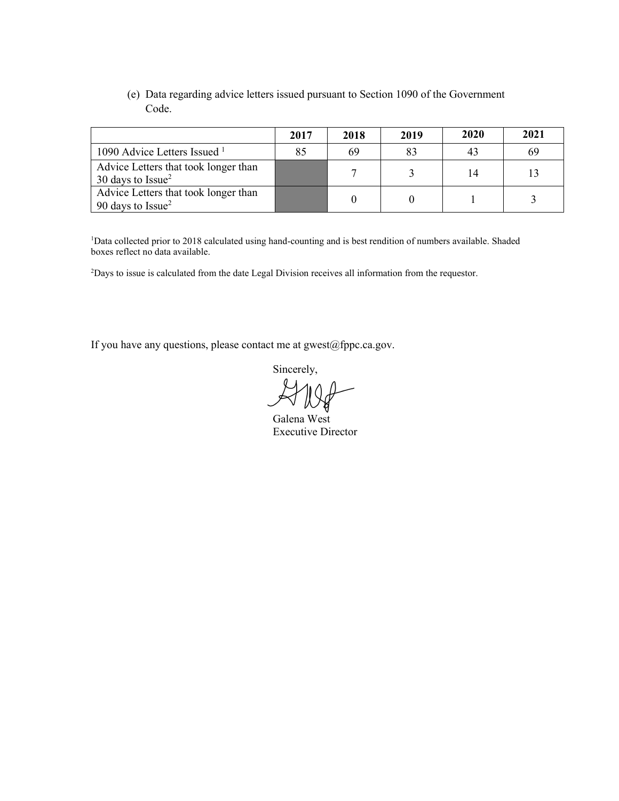(e) Data regarding advice letters issued pursuant to Section 1090 of the Government Code.

|                                                              | 2017 | 2018 | 2019 | 2020 | 2021 |
|--------------------------------------------------------------|------|------|------|------|------|
| 1090 Advice Letters Issued $1$                               |      | 69   | 83   | 43   | 69   |
| Advice Letters that took longer than<br>30 days to $Is sue2$ |      |      |      | 14   |      |
| Advice Letters that took longer than<br>90 days to $Issue2$  |      |      |      |      |      |

<sup>1</sup>Data collected prior to 2018 calculated using hand-counting and is best rendition of numbers available. Shaded boxes reflect no data available.

2 Days to issue is calculated from the date Legal Division receives all information from the requestor.

If you have any questions, please contact me at gwest@fppc.ca.gov.

Sincerely,

Galena West Executive Director